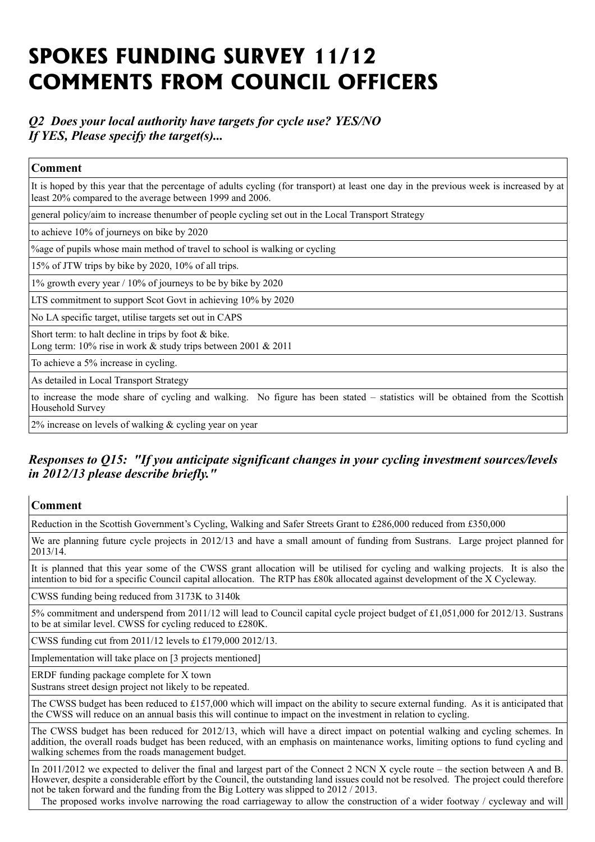# **SPOKES FUNDING SURVEY 11/12 COMMENTS FROM COUNCIL OFFICERS**

# *Q2 Does your local authority have targets for cycle use? YES/NO If YES, Please specify the target(s)...*

| <b>Comment</b>                                                                                                                                                                                      |
|-----------------------------------------------------------------------------------------------------------------------------------------------------------------------------------------------------|
| It is hoped by this year that the percentage of adults cycling (for transport) at least one day in the previous week is increased by at<br>least 20% compared to the average between 1999 and 2006. |
| general policy/aim to increase the<br>number of people cycling set out in the Local Transport Strategy                                                                                              |
| to achieve 10% of journeys on bike by 2020                                                                                                                                                          |
| % age of pupils whose main method of travel to school is walking or cycling                                                                                                                         |
| 15% of JTW trips by bike by 2020, 10% of all trips.                                                                                                                                                 |
| 1% growth every year / 10% of journeys to be by bike by 2020                                                                                                                                        |
| LTS commitment to support Scot Govt in achieving 10% by 2020                                                                                                                                        |
| No LA specific target, utilise targets set out in CAPS                                                                                                                                              |
| Short term: to halt decline in trips by foot $&$ bike.<br>Long term: $10\%$ rise in work & study trips between 2001 & 2011                                                                          |
| To achieve a 5% increase in cycling.                                                                                                                                                                |
| As detailed in Local Transport Strategy                                                                                                                                                             |
| to increase the mode share of cycling and walking. No figure has been stated – statistics will be obtained from the Scottish<br>Household Survey                                                    |
| $2\%$ increase on levels of walking & cycling year on year                                                                                                                                          |

# *Responses to Q15: "If you anticipate significant changes in your cycling investment sources/levels in 2012/13 please describe briefly."*

| <b>Comment</b>                                                                                                                                                                                                                                                                                                      |
|---------------------------------------------------------------------------------------------------------------------------------------------------------------------------------------------------------------------------------------------------------------------------------------------------------------------|
| Reduction in the Scottish Government's Cycling, Walking and Safer Streets Grant to £286,000 reduced from £350,000                                                                                                                                                                                                   |
| We are planning future cycle projects in 2012/13 and have a small amount of funding from Sustrans. Large project planned for<br>2013/14.                                                                                                                                                                            |
| It is planned that this year some of the CWSS grant allocation will be utilised for cycling and walking projects. It is also the<br>intention to bid for a specific Council capital allocation. The RTP has £80k allocated against development of the X Cycleway.                                                   |
| CWSS funding being reduced from 3173K to 3140k                                                                                                                                                                                                                                                                      |
| 5% commitment and underspend from 2011/12 will lead to Council capital cycle project budget of £1,051,000 for 2012/13. Sustrans<br>to be at similar level. CWSS for cycling reduced to £280K.                                                                                                                       |
| CWSS funding cut from 2011/12 levels to £179,000 2012/13.                                                                                                                                                                                                                                                           |
| Implementation will take place on [3 projects mentioned]                                                                                                                                                                                                                                                            |
| ERDF funding package complete for X town<br>Sustrans street design project not likely to be repeated.                                                                                                                                                                                                               |
| The CWSS budget has been reduced to £157,000 which will impact on the ability to secure external funding. As it is anticipated that<br>the CWSS will reduce on an annual basis this will continue to impact on the investment in relation to cycling.                                                               |
| The CWSS budget has been reduced for 2012/13, which will have a direct impact on potential walking and cycling schemes. In<br>addition, the overall roads budget has been reduced, with an emphasis on maintenance works, limiting options to fund cycling and<br>walking schemes from the roads management budget. |
| In 2011/2012 we expected to deliver the final and largest part of the Connect 2 NCN X cycle route – the section between A and B.                                                                                                                                                                                    |

However, despite a considerable effort by the Council, the outstanding land issues could not be resolved. The project could therefore not be taken forward and the funding from the Big Lottery was slipped to 2012 / 2013.

The proposed works involve narrowing the road carriageway to allow the construction of a wider footway / cycleway and will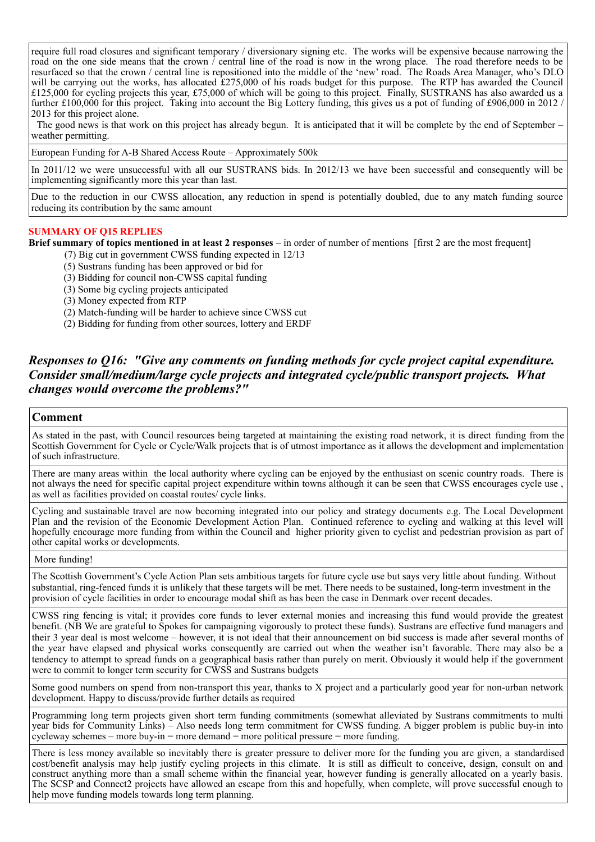require full road closures and significant temporary / diversionary signing etc. The works will be expensive because narrowing the road on the one side means that the crown / central line of the road is now in the wrong place. The road therefore needs to be resurfaced so that the crown / central line is repositioned into the middle of the 'new' road. The Roads Area Manager, who's DLO will be carrying out the works, has allocated £275,000 of his roads budget for this purpose. The RTP has awarded the Council £125,000 for cycling projects this year, £75,000 of which will be going to this project. Finally, SUSTRANS has also awarded us a further £100,000 for this project. Taking into account the Big Lottery funding, this gives us a pot of funding of £906,000 in 2012 / 2013 for this project alone.

 The good news is that work on this project has already begun. It is anticipated that it will be complete by the end of September – weather permitting.

European Funding for A-B Shared Access Route – Approximately 500k

In 2011/12 we were unsuccessful with all our SUSTRANS bids. In 2012/13 we have been successful and consequently will be implementing significantly more this year than last.

Due to the reduction in our CWSS allocation, any reduction in spend is potentially doubled, due to any match funding source reducing its contribution by the same amount

#### **SUMMARY OF Q15 REPLIES**

**Brief summary of topics mentioned in at least 2 responses** – in order of number of mentions [first 2 are the most frequent]

- (7) Big cut in government CWSS funding expected in 12/13
- (5) Sustrans funding has been approved or bid for
- (3) Bidding for council non-CWSS capital funding
- (3) Some big cycling projects anticipated
- (3) Money expected from RTP
- (2) Match-funding will be harder to achieve since CWSS cut
- (2) Bidding for funding from other sources, lottery and ERDF

## *Responses to Q16: "Give any comments on funding methods for cycle project capital expenditure. Consider small/medium/large cycle projects and integrated cycle/public transport projects. What changes would overcome the problems?"*

#### **Comment**

As stated in the past, with Council resources being targeted at maintaining the existing road network, it is direct funding from the Scottish Government for Cycle or Cycle/Walk projects that is of utmost importance as it allows the development and implementation of such infrastructure.

There are many areas within the local authority where cycling can be enjoyed by the enthusiast on scenic country roads. There is not always the need for specific capital project expenditure within towns although it can be seen that CWSS encourages cycle use , as well as facilities provided on coastal routes/ cycle links.

Cycling and sustainable travel are now becoming integrated into our policy and strategy documents e.g. The Local Development Plan and the revision of the Economic Development Action Plan. Continued reference to cycling and walking at this level will hopefully encourage more funding from within the Council and higher priority given to cyclist and pedestrian provision as part of other capital works or developments.

More funding!

The Scottish Government's Cycle Action Plan sets ambitious targets for future cycle use but says very little about funding. Without substantial, ring-fenced funds it is unlikely that these targets will be met. There needs to be sustained, long-term investment in the provision of cycle facilities in order to encourage modal shift as has been the case in Denmark over recent decades.

CWSS ring fencing is vital; it provides core funds to lever external monies and increasing this fund would provide the greatest benefit. (NB We are grateful to Spokes for campaigning vigorously to protect these funds). Sustrans are effective fund managers and their 3 year deal is most welcome – however, it is not ideal that their announcement on bid success is made after several months of the year have elapsed and physical works consequently are carried out when the weather isn't favorable. There may also be a tendency to attempt to spread funds on a geographical basis rather than purely on merit. Obviously it would help if the government were to commit to longer term security for CWSS and Sustrans budgets

Some good numbers on spend from non-transport this year, thanks to X project and a particularly good year for non-urban network development. Happy to discuss/provide further details as required

Programming long term projects given short term funding commitments (somewhat alleviated by Sustrans commitments to multi year bids for Community Links) – Also needs long term commitment for CWSS funding. A bigger problem is public buy-in into cycleway schemes – more buy-in = more demand = more political pressure = more funding.

There is less money available so inevitably there is greater pressure to deliver more for the funding you are given, a standardised cost/benefit analysis may help justify cycling projects in this climate. It is still as difficult to conceive, design, consult on and construct anything more than a small scheme within the financial year, however funding is generally allocated on a yearly basis. The SCSP and Connect2 projects have allowed an escape from this and hopefully, when complete, will prove successful enough to help move funding models towards long term planning.